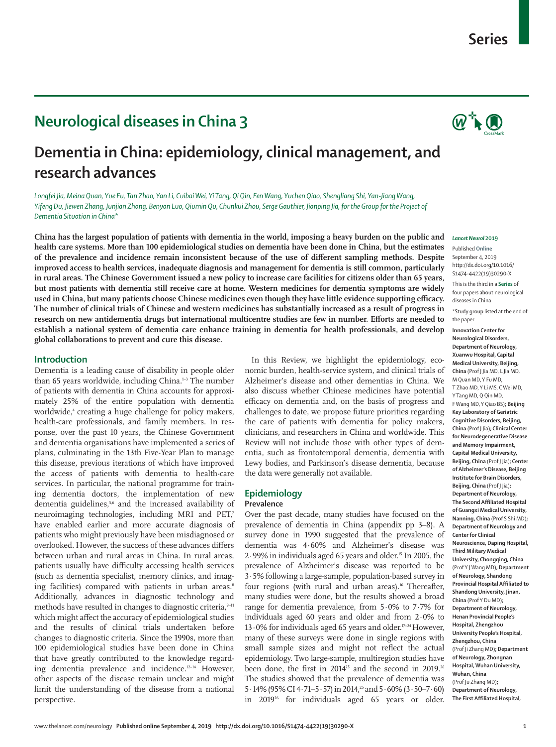# **Neurological diseases in China 3**

# **Dementia in China: epidemiology, clinical management, and research advances**

*Longfei Jia, Meina Quan, Yue Fu, Tan Zhao, Yan Li, Cuibai Wei, Yi Tang, Qi Qin, Fen Wang, Yuchen Qiao, Shengliang Shi, Yan-Jiang Wang, Yifeng Du, Jiewen Zhang, Junjian Zhang, Benyan Luo, Qiumin Qu, Chunkui Zhou, Serge Gauthier, Jianping Jia, for the Group for the Project of Dementia Situation in China\**

**China has the largest population of patients with dementia in the world, imposing a heavy burden on the public and health care systems. More than 100 epidemiological studies on dementia have been done in China, but the estimates of the prevalence and incidence remain inconsistent because of the use of different sampling methods. Despite improved access to health services, inadequate diagnosis and management for dementia is still common, particularly in rural areas. The Chinese Government issued a new policy to increase care facilities for citizens older than 65 years, but most patients with dementia still receive care at home. Western medicines for dementia symptoms are widely used in China, but many patients choose Chinese medicines even though they have little evidence supporting efficacy. The number of clinical trials of Chinese and western medicines has substantially increased as a result of progress in research on new antidementia drugs but international multicentre studies are few in number. Efforts are needed to establish a national system of dementia care enhance training in dementia for health professionals, and develop global collaborations to prevent and cure this disease.**

## **Introduction**

Dementia is a leading cause of disability in people older than 65 years worldwide, including China.<sup>1-3</sup> The number of patients with dementia in China accounts for approximately 25% of the entire population with dementia worldwide,4 creating a huge challenge for policy makers, health-care professionals, and family members. In response, over the past 10 years, the Chinese Government and dementia organisations have implemented a series of plans, culminating in the [13th Five-Year Plan](http://www.cncaprc.gov.cn/contents/2/179240.html) to manage this disease, previous iterations of which have improved the access of patients with dementia to health-care services. In particular, the national programme for training dementia doctors, the implementation of new dementia guidelines,<sup>5,6</sup> and the increased availability of neuroimaging technologies, including MRI and PET,7 have enabled earlier and more accurate diagnosis of patients who might previously have been misdiagnosed or overlooked. However, the success of these advances differs between urban and rural areas in China. In rural areas, patients usually have difficulty accessing health services (such as dementia specialist, memory clinics, and imaging facilities) compared with patients in urban areas.<sup>8</sup> Additionally, advances in diagnostic technology and methods have resulted in changes to diagnostic criteria, 9-11 which might affect the accuracy of epidemiological studies and the results of clinical trials undertaken before changes to diagnostic criteria. Since the 1990s, more than 100 epidemiological studies have been done in China that have greatly contributed to the knowledge regarding dementia prevalence and incidence.12–14 However, other aspects of the disease remain unclear and might limit the understanding of the disease from a national perspective.

In this Review, we highlight the epidemiology, economic burden, health-service system, and clinical trials of Alzheimer's disease and other dementias in China. We also discuss whether Chinese medicines have potential efficacy on dementia and, on the basis of progress and challenges to date, we propose future priorities regarding the care of patients with dementia for policy makers, clinicians, and researchers in China and worldwide. This Review will not include those with other types of dementia, such as frontotemporal dementia, dementia with Lewy bodies, and Parkinson's disease dementia, because the data were generally not available.

## **Epidemiology**

## **Prevalence**

Over the past decade, many studies have focused on the prevalence of dementia in China (appendix pp 3–8). A survey done in 1990 suggested that the prevalence of dementia was 4·60% and Alzheimer's disease was 2·99% in individuals aged 65 years and older.15 In 2005, the prevalence of Alzheimer's disease was reported to be 3·5% following a large-sample, population-based survey in four regions (with rural and urban areas).<sup>16</sup> Thereafter, many studies were done, but the results showed a broad range for dementia prevalence, from 5·0% to 7·7% for individuals aged 60 years and older and from 2·0% to 13 $\cdot$ 0% for individuals aged 65 years and older.<sup>17-24</sup> However, many of these surveys were done in single regions with small sample sizes and might not reflect the actual epidemiology. Two large-sample, multiregion studies have been done, the first in 2014<sup>25</sup> and the second in 2019.<sup>26</sup> The studies showed that the prevalence of dementia was 5·14% (95% CI 4·71–5·57) in 2014,25 and 5·60% (3·50–7·60) in 2019<sup>26</sup> for individuals aged 65 years or older.

#### *Lancet Neurol* **2019**

Published **Online** September 4, 2019 http://dx.doi.org/10.1016/ S1474-4422(19)30290-X

This is the third in a **Series** of four papers about neurological diseases in China

\*Study group listed at the end of the paper

**Innovation Center for Neurological Disorders, Department of Neurology, Xuanwu Hospital, Capital Medical University, Beijing, China** (Prof J Jia MD, L Jia MD, M Quan MD, Y Fu MD, T Zhao MD, Y Li MS, C Wei MD, Y Tang MD, Q Qin MD, F Wang MD, Y Qiao BS)**; Beijing Key Laboratory of Geriatric Cognitive Disorders, Beijing, China** (Prof J Jia)**; Clinical Center for Neurodegenerative Disease and Memory Impairment, Capital Medical University, Beijing, China** (Prof J Jia)**; Center of Alzheimer's Disease, Beijing Institute for Brain Disorders, Beijing, China** (Prof J Jia)**; Department of Neurology, The Second Affiliated Hospital of Guangxi Medical University, Nanning, China** (Prof S Shi MD)**; Department of Neurology and Center for Clinical Neuroscience, Daping Hospital, Third Military Medical University, Chongqing, China**  (Prof Y J Wang MD)**; Department of Neurology, Shandong Provincial Hospital Affiliated to Shandong University, Jinan, China** (Prof Y Du MD)**; Department of Neurology, Henan Provincial People's Hospital, Zhengzhou University People's Hospital, Zhengzhou, China**  (Prof Ji Zhang MD)**; Department of Neurology, Zhongnan Hospital, Wuhan University, Wuhan, China**  (Prof Ju Zhang MD)**; Department of Neurology, The First Affiliated Hospital,**

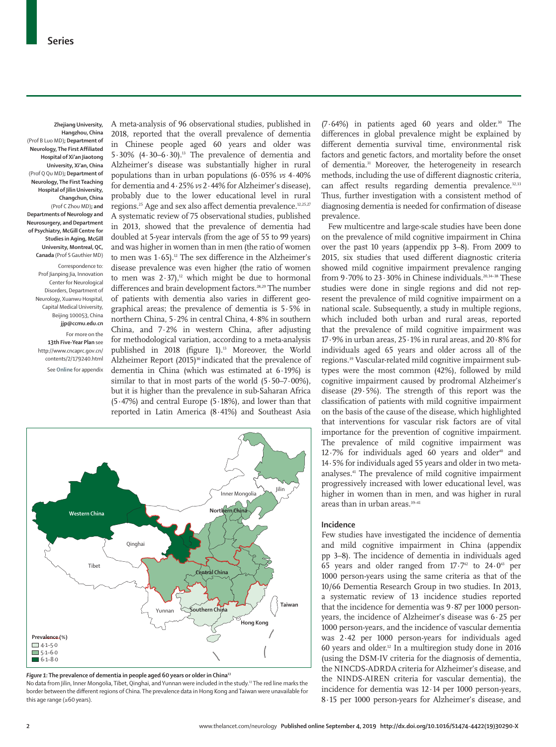**Zhejiang University, Hangzhou, China**  (Prof B Luo MD)**; Department of Neurology, The First Affiliated Hospital of Xi'an Jiaotong University, Xi'an, China**  (Prof Q Qu MD)**; Department of Neurology, The First Teaching Hospital of Jilin University, Changchun, China**  (Prof C Zhou MD)**; and Departments of Neurology and Neurosurgery, and Department of Psychiatry, McGill Centre for Studies in Aging, McGill University, Montreal, QC, Canada** (Prof S Gauthier MD)

Correspondence to: Prof Jianping Jia, Innovation Center for Neurological Disorders, Department of Neurology, Xuanwu Hospital, Capital Medical University, Beijing 100053, China **jjp@ccmu.edu.cn**

For more on the **13th Five-Year Plan** see [http://www.cncaprc.gov.cn/](http://www.cncaprc.gov.cn/contents/2/179240.html) [contents/2/179240.html](http://www.cncaprc.gov.cn/contents/2/179240.html) See **Online** for appendix A meta-analysis of 96 observational studies, published in 2018, reported that the overall prevalence of dementia in Chinese people aged 60 years and older was 5 $\cdot$ 30% (4 $\cdot$ 30 $-$ 6 $\cdot$ 30).<sup>13</sup> The prevalence of dementia and Alzheimer's disease was substantially higher in rural populations than in urban populations (6·05% *vs* 4·40% for dementia and 4·25% *vs* 2·44% for Alzheimer's disease), probably due to the lower educational level in rural regions.25 Age and sex also affect dementia prevalence.12,25,27 A systematic review of 75 observational studies, published in 2013, showed that the prevalence of dementia had doubled at 5-year intervals (from the age of 55 to 99 years) and was higher in women than in men (the ratio of women to men was  $1.65$ ).<sup>12</sup> The sex difference in the Alzheimer's disease prevalence was even higher (the ratio of women to men was  $2.37$ ,<sup>12</sup> which might be due to hormonal differences and brain development factors.<sup>28,29</sup> The number of patients with dementia also varies in different geographical areas; the prevalence of dementia is 5·5% in northern China, 5·2% in central China, 4·8% in southern China, and 7·2% in western China, after adjusting for methodological variation, according to a meta-analysis published in 2018 (figure 1).<sup>13</sup> Moreover, the World Alzheimer Report (2015)<sup>30</sup> indicated that the prevalence of dementia in China (which was estimated at 6·19%) is similar to that in most parts of the world  $(5.50-7.00\%)$ , but it is higher than the prevalence in sub-Saharan Africa (5·47%) and central Europe (5·18%), and lower than that reported in Latin America (8·41%) and Southeast Asia



*Figure 1:* **The prevalence of dementia in people aged 60 years or older in China13**

No data from Jilin, Inner Mongolia, Tibet, Qinghai, and Yunnan were included in the study.13 The red line marks the border between the different regions of China. The prevalence data in Hong Kong and Taiwan were unavailable for this age range (≥60 years).

 $(7.64%)$  in patients aged 60 years and older.<sup>30</sup> The differences in global prevalence might be explained by different dementia survival time, environmental risk factors and genetic factors, and mortality before the onset of dementia.<sup>31</sup> Moreover, the heterogeneity in research methods, including the use of different diagnostic criteria, can affect results regarding dementia prevalence.<sup>32,33</sup> Thus, further investigation with a consistent method of diagnosing dementia is needed for confirmation of disease prevalence.

Few multicentre and large-scale studies have been done on the prevalence of mild cognitive impairment in China over the past 10 years (appendix pp 3–8). From 2009 to 2015, six studies that used different diagnostic criteria showed mild cognitive impairment prevalence ranging from 9.70% to 23.30% in Chinese individuals.<sup>20,34-38</sup> These studies were done in single regions and did not represent the prevalence of mild cognitive impairment on a national scale. Subsequently, a study in multiple regions, which included both urban and rural areas, reported that the prevalence of mild cognitive impairment was 17·9% in urban areas, 25·1% in rural areas, and 20·8% for individuals aged 65 years and older across all of the regions.39 Vascular-related mild cognitive impairment subtypes were the most common (42%), followed by mild cognitive impairment caused by prodromal Alzheimer's disease (29·5%). The strength of this report was the classification of patients with mild cognitive impairment on the basis of the cause of the disease, which highlighted that interventions for vascular risk factors are of vital importance for the prevention of cognitive impairment. The prevalence of mild cognitive impairment was  $12.7\%$  for individuals aged 60 years and older<sup>40</sup> and 14·5% for individuals aged 55 years and older in two metaanalyses.41 The prevalence of mild cognitive impairment progressively increased with lower educational level, was higher in women than in men, and was higher in rural areas than in urban areas.<sup>39-41</sup>

#### **Incidence**

Few studies have investigated the incidence of dementia and mild cognitive impairment in China (appendix pp 3–8). The incidence of dementia in individuals aged 65 years and older ranged from  $17 \cdot 742$  to  $24 \cdot 043$  per 1000 person-years using the same criteria as that of the 10/66 Dementia Research Group in two studies. In 2013, a systematic review of 13 incidence studies reported that the incidence for dementia was 9·87 per 1000 personyears, the incidence of Alzheimer's disease was 6·25 per 1000 person-years, and the incidence of vascular dementia was 2·42 per 1000 person-years for individuals aged 60 years and older.<sup>12</sup> In a multiregion study done in 2016 (using the DSM-IV criteria for the diagnosis of dementia, the NINCDS-ADRDA criteria for Alzheimer's disease, and the NINDS-AIREN criteria for vascular dementia), the incidence for dementia was 12·14 per 1000 person-years, 8·15 per 1000 person-years for Alzheimer's disease, and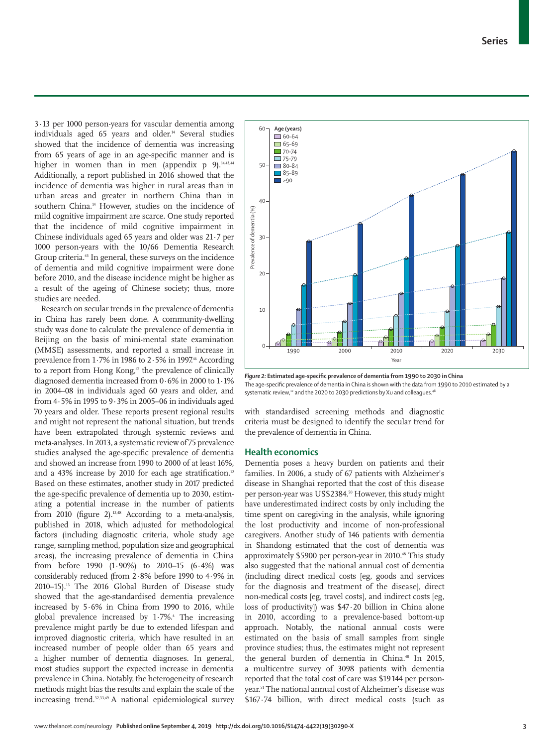3·13 per 1000 person-years for vascular dementia among individuals aged 65 years and older.<sup>14</sup> Several studies showed that the incidence of dementia was increasing from 65 years of age in an age-specific manner and is higher in women than in men (appendix  $p$  9).<sup>14,43,44</sup> Additionally, a report published in 2016 showed that the incidence of dementia was higher in rural areas than in urban areas and greater in northern China than in southern China.14 However, studies on the incidence of mild cognitive impairment are scarce. One study reported that the incidence of mild cognitive impairment in Chinese individuals aged 65 years and older was 21·7 per 1000 person-years with the 10/66 Dementia Research Group criteria.45 In general, these surveys on the incidence of dementia and mild cognitive impairment were done before 2010, and the disease incidence might be higher as a result of the ageing of Chinese society; thus, more studies are needed.

Research on secular trends in the prevalence of dementia in China has rarely been done. A community-dwelling study was done to calculate the prevalence of dementia in Beijing on the basis of mini-mental state examination (MMSE) assessments, and reported a small increase in prevalence from 1·7% in 1986 to 2·5% in 1997. 46 According to a report from Hong Kong, $\phi$  the prevalence of clinically diagnosed dementia increased from 0·6% in 2000 to 1·1% in 2004–08 in individuals aged 60 years and older, and from 4·5% in 1995 to 9·3% in 2005–06 in individuals aged 70 years and older. These reports present regional results and might not represent the national situation, but trends have been extrapolated through systemic reviews and meta-analyses. In 2013, a systematic review of 75 prevalence studies analysed the age-specific prevalence of dementia and showed an increase from 1990 to 2000 of at least 16%, and a 43% increase by 2010 for each age stratification.<sup>12</sup> Based on these estimates, another study in 2017 predicted the age-specific prevalence of dementia up to 2030, estimating a potential increase in the number of patients from 2010 (figure 2).<sup>12,48</sup> According to a meta-analysis, published in 2018, which adjusted for methodological factors (including diagnostic criteria, whole study age range, sampling method, population size and geographical areas), the increasing prevalence of dementia in China from before 1990 (1·90%) to 2010–15 (6·4%) was considerably reduced (from 2·8% before 1990 to 4·9% in 2010–15).13 The 2016 Global Burden of Disease study showed that the age-standardised dementia prevalence increased by 5·6% in China from 1990 to 2016, while global prevalence increased by 1.7%.<sup>4</sup> The increasing prevalence might partly be due to extended lifespan and improved diagnostic criteria, which have resulted in an increased number of people older than 65 years and a higher number of dementia diagnoses. In general, most studies support the expected increase in dementia prevalence in China. Notably, the heterogeneity of research methods might bias the results and explain the scale of the increasing trend.32,33,49 A national epidemiological survey



*Figure 2:* **Estimated age-specific prevalence of dementia from 1990 to 2030 in China** The age-specific prevalence of dementia in China is shown with the data from 1990 to 2010 estimated by a systematic review,<sup>12</sup> and the 2020 to 2030 predictions by Xu and colleagues.<sup>48</sup>

with standardised screening methods and diagnostic criteria must be designed to identify the secular trend for the prevalence of dementia in China.

## **Health economics**

Dementia poses a heavy burden on patients and their families. In 2006, a study of 67 patients with Alzheimer's disease in Shanghai reported that the cost of this disease per person-year was US\$2384.50 However, this study might have underestimated indirect costs by only including the time spent on caregiving in the analysis, while ignoring the lost productivity and income of non-professional caregivers. Another study of 146 patients with dementia in Shandong estimated that the cost of dementia was approximately \$5900 per person-year in 2010.<sup>48</sup> This study also suggested that the national annual cost of dementia (including direct medical costs [eg, goods and services for the diagnosis and treatment of the disease], direct non-medical costs [eg, travel costs], and indirect costs [eg, loss of productivity]) was \$47·20 billion in China alone in 2010, according to a prevalence-based bottom-up approach. Notably, the national annual costs were estimated on the basis of small samples from single province studies; thus, the estimates might not represent the general burden of dementia in China.<sup>48</sup> In 2015, a multicentre survey of 3098 patients with dementia reported that the total cost of care was \$19144 per personyear.51 The national annual cost of Alzheimer's disease was \$167·74 billion, with direct medical costs (such as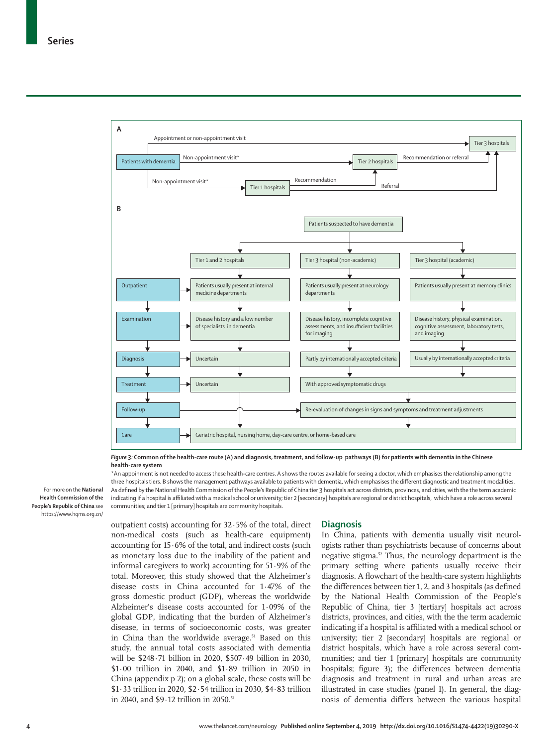

*Figure 3:* **Common of the health-care route (A) and diagnosis, treatment, and follow-up pathways (B) for patients with dementia in the Chinese health-care system**

For more on the **National Health Commission of the People's Republic of China** see <https://www.hqms.org.cn/>

\*An appoinment is not needed to access these health-care centres. A shows the routes available for seeing a doctor, which emphasises the relationship among the three hospitals tiers. B shows the management pathways available to patients with dementia, which emphasises the different diagnostic and treatment modalities. As defined by the [National Health Commission of the People's Republic of China](https://www.hqms.org.cn/) tier 3 hospitals act across districts, provinces, and cities, with the the term academic indicating if a hospital is affiliated with a medical school or university; tier 2 [secondary] hospitals are regional or district hospitals, which have a role across several communities; and tier 1 [primary] hospitals are community hospitals.

outpatient costs) accounting for 32·5% of the total, direct non-medical costs (such as health-care equipment) accounting for 15·6% of the total, and indirect costs (such as monetary loss due to the inability of the patient and informal caregivers to work) accounting for 51·9% of the total. Moreover, this study showed that the Alzheimer's disease costs in China accounted for 1·47% of the gross domestic product (GDP), whereas the worldwide Alzheimer's disease costs accounted for 1·09% of the global GDP, indicating that the burden of Alzheimer's disease, in terms of socioeconomic costs, was greater in China than the worldwide average.<sup>51</sup> Based on this study, the annual total costs associated with dementia will be \$248·71 billion in 2020, \$507·49 billion in 2030, \$1·00 trillion in 2040, and \$1·89 trillion in 2050 in China (appendix p 2); on a global scale, these costs will be \$1·33 trillion in 2020, \$2·54 trillion in 2030, \$4·83 trillion in 2040, and \$9.12 trillion in 2050.<sup>51</sup>

## **Diagnosis**

In China, patients with dementia usually visit neurologists rather than psychiatrists because of concerns about negative stigma.52 Thus, the neurology department is the primary setting where patients usually receive their diagnosis. A flowchart of the health-care system highlights the differences between tier 1, 2, and 3 hospitals (as defined by the National Health Commission of the People's Republic of China, tier 3 [tertiary] hospitals act across districts, provinces, and cities, with the the term academic indicating if a hospital is affiliated with a medical school or university; tier 2 [secondary] hospitals are regional or district hospitals, which have a role across several communities; and tier 1 [primary] hospitals are community hospitals; figure 3); the differences between dementia diagnosis and treatment in rural and urban areas are illustrated in case studies (panel 1). In general, the diagnosis of dementia differs between the various hospital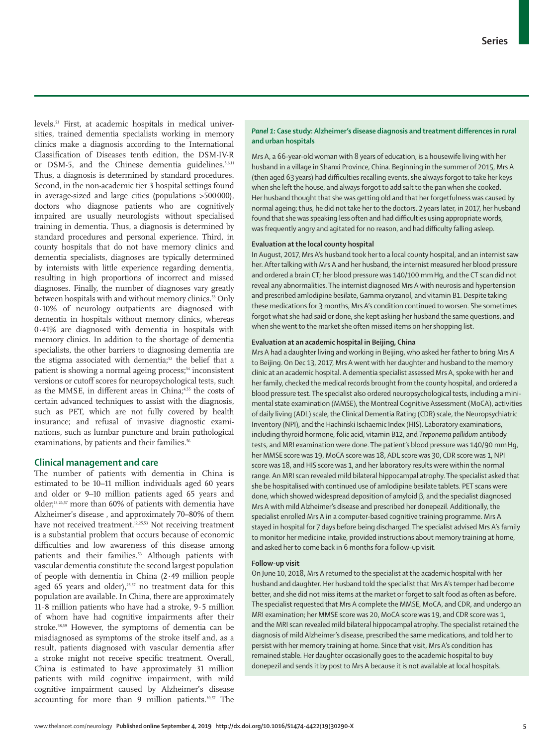levels.53 First, at academic hospitals in medical universities, trained dementia specialists working in memory clinics make a diagnosis according to the International Classification of Diseases tenth edition, the DSM-IV-R or DSM-5, and the Chinese dementia guidelines.<sup>5,6,11</sup> Thus, a diagnosis is determined by standard procedures. Second, in the non-academic tier 3 hospital settings found in average-sized and large cities (populations >500000), doctors who diagnose patients who are cognitively impaired are usually neurologists without specialised training in dementia. Thus, a diagnosis is determined by standard procedures and personal experience. Third, in county hospitals that do not have memory clinics and dementia specialists, diagnoses are typically determined by internists with little experience regarding dementia, resulting in high proportions of incorrect and missed diagnoses. Finally, the number of diagnoses vary greatly between hospitals with and without memory clinics.53 Only 0·10% of neurology outpatients are diagnosed with dementia in hospitals without memory clinics, whereas 0·41% are diagnosed with dementia in hospitals with memory clinics. In addition to the shortage of dementia specialists, the other barriers to diagnosing dementia are the stigma associated with dementia;<sup>52</sup> the belief that a patient is showing a normal ageing process;<sup>54</sup> inconsistent versions or cutoff scores for neuropsychological tests, such as the MMSE, in different areas in China;<sup>4,55</sup> the costs of certain advanced techniques to assist with the diagnosis, such as PET, which are not fully covered by health insurance; and refusal of invasive diagnostic examinations, such as lumbar puncture and brain pathological examinations, by patients and their families.<sup>56</sup>

## **Clinical management and care**

The number of patients with dementia in China is estimated to be 10–11 million individuals aged 60 years and older or 9–10 million patients aged 65 years and older;13,26,57 more than 60% of patients with dementia have Alzheimer's disease , and approximately 70–80% of them have not received treatment.<sup>11</sup><sub>2,25,53</sub> Not receiving treatment</sub> is a substantial problem that occurs because of economic difficulties and low awareness of this disease among patients and their families.<sup>53</sup> Although patients with vascular dementia constitute the second largest population of people with dementia in China (2·49 million people aged 65 years and older),<sup>25,57</sup> no treatment data for this population are available. In China, there are approximately 11·8 million patients who have had a stroke, 9·5 million of whom have had cognitive impairments after their stroke.58,59 However, the symptoms of dementia can be misdiagnosed as symptoms of the stroke itself and, as a result, patients diagnosed with vascular dementia after a stroke might not receive specific treatment. Overall, China is estimated to have approximately 31 million patients with mild cognitive impairment, with mild cognitive impairment caused by Alzheimer's disease accounting for more than 9 million patients.39,57 The

## *Panel 1:* **Case study: Alzheimer's disease diagnosis and treatment differences in rural and urban hospitals**

Mrs A, a 66-year-old woman with 8 years of education, is a housewife living with her husband in a village in Shanxi Province, China. Beginning in the summer of 2015, Mrs A (then aged 63 years) had difficulties recalling events, she always forgot to take her keys when she left the house, and always forgot to add salt to the pan when she cooked. Her husband thought that she was getting old and that her forgetfulness was caused by normal ageing; thus, he did not take her to the doctors. 2 years later, in 2017, her husband found that she was speaking less often and had difficulties using appropriate words, was frequently angry and agitated for no reason, and had difficulty falling asleep.

## **Evaluation at the local county hospital**

In August, 2017, Mrs A's husband took her to a local county hospital, and an internist saw her. After talking with Mrs A and her husband, the internist measured her blood pressure and ordered a brain CT; her blood pressure was 140/100 mmHg, and the CT scan did not reveal any abnormalities. The internist diagnosed Mrs A with neurosis and hypertension and prescribed amlodipine besilate, Gamma oryzanol, and vitamin B1. Despite taking these medications for 3 months, Mrs A's condition continued to worsen. She sometimes forgot what she had said or done, she kept asking her husband the same questions, and when she went to the market she often missed items on her shopping list.

## **Evaluation at an academic hospital in Beijing, China**

Mrs A had a daughter living and working in Beijing, who asked her father to bring Mrs A to Beijing. On Dec 13, 2017, Mrs A went with her daughter and husband to the memory clinic at an academic hospital. A dementia specialist assessed Mrs A, spoke with her and her family, checked the medical records brought from the county hospital, and ordered a blood pressure test. The specialist also ordered neuropsychological tests, including a minimental state examination (MMSE), the Montreal Cognitive Assessment (MoCA), activities of daily living (ADL) scale, the Clinical Dementia Rating (CDR) scale, the Neuropsychiatric Inventory (NPI), and the Hachinski Ischaemic Index (HIS). Laboratory examinations, including thyroid hormone, folic acid, vitamin B12, and *Treponema pallidum* antibody tests, and MRI examination were done. The patient's blood pressure was 140/90 mm Hg, her MMSE score was 19, MoCA score was 18, ADL score was 30, CDR score was 1, NPI score was 18, and HIS score was 1, and her laboratory results were within the normal range. An MRI scan revealed mild bilateral hippocampal atrophy. The specialist asked that she be hospitalised with continued use of amlodipine besilate tablets. PET scans were done, which showed widespread deposition of amyloid β, and the specialist diagnosed Mrs A with mild Alzheimer's disease and prescribed her donepezil. Additionally, the specialist enrolled Mrs A in a computer-based cognitive training programme. Mrs A stayed in hospital for 7 days before being discharged. The specialist advised Mrs A's family to monitor her medicine intake, provided instructions about memory training at home, and asked her to come back in 6 months for a follow-up visit.

#### **Follow-up visit**

On June 10, 2018, Mrs A returned to the specialist at the academic hospital with her husband and daughter. Her husband told the specialist that Mrs A's temper had become better, and she did not miss items at the market or forget to salt food as often as before. The specialist requested that Mrs A complete the MMSE, MoCA, and CDR, and undergo an MRI examination; her MMSE score was 20, MoCA score was 19, and CDR score was 1, and the MRI scan revealed mild bilateral hippocampal atrophy. The specialist retained the diagnosis of mild Alzheimer's disease, prescribed the same medications, and told her to persist with her memory training at home. Since that visit, Mrs A's condition has remained stable. Her daughter occasionally goes to the academic hospital to buy donepezil and sends it by post to Mrs A because it is not available at local hospitals.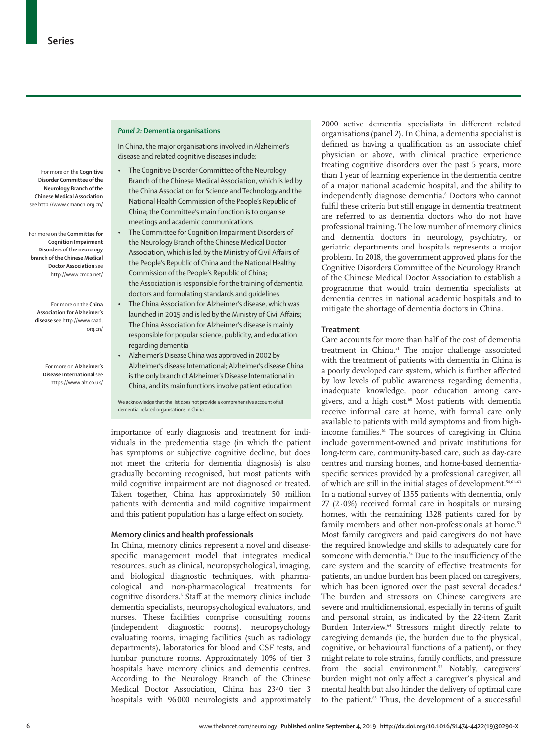For more on the **Cognitive Disorder Committee of the Neurology Branch of the Chinese Medical Association** see <http://www.cmancn.org.cn/>

For more on the **Committee for Cognition Impairment Disorders of the neurology branch of the Chinese Medical Doctor Association** see <http://www.cmda.net/>

For more on the **China Association for Alzheimer's disease** see [http://www.caad.](http://www.caad.org.cn/)

> For more on **Alzheimer's Disease International** see <https://www.alz.co.uk/>

[org.cn/](http://www.caad.org.cn/)

#### *Panel 2:* **Dementia organisations**

In China, the major organisations involved in Alzheimer's disease and related cognitive diseases include:

- The [Cognitive Disorder Committee of the Neurology](http://www.cmancn.org.cn/)  [Branch of the Chinese Medical Association,](http://www.cmancn.org.cn/) which is led by the China Association for Science and Technology and the National Health Commission of the People's Republic of China; the Committee's main function is to organise meetings and academic communications
- The [Committee for Cognition Impairment Disorders of](http://www.cmda.net/)  [the Neurology Branch of the Chinese Medical Doctor](http://www.cmda.net/)  [Association,](http://www.cmda.net/) which is led by the Ministry of Civil Affairs of the People's Republic of China and the National Healthy Commission of the People's Republic of China; the Association is responsible for the training of dementia doctors and formulating standards and guidelines
- The [China Association for Alzheimer's disease](http://www.caad.org.cn/), which was launched in 2015 and is led by the Ministry of Civil Affairs; The China Association for Alzheimer's disease is mainly responsible for popular science, publicity, and education regarding dementia
- Alzheimer's Disease China was approved in 2002 by [Alzheimer's disease International;](https://www.alz.co.uk/) Alzheimer's disease China is the only branch of Alzheimer's Disease International in China, and its main functions involve patient education

We acknowledge that the list does not provide a comprehensive account of all dementia-related organisations in China.

importance of early diagnosis and treatment for individuals in the predementia stage (in which the patient has symptoms or subjective cognitive decline, but does not meet the criteria for dementia diagnosis) is also gradually becoming recognised, but most patients with mild cognitive impairment are not diagnosed or treated. Taken together, China has approximately 50 million patients with dementia and mild cognitive impairment and this patient population has a large effect on society.

## **Memory clinics and health professionals**

In China, memory clinics represent a novel and diseasespecific management model that integrates medical resources, such as clinical, neuropsychological, imaging, and biological diagnostic techniques, with pharmacological and non-pharmacological treatments for cognitive disorders.<sup>6</sup> Staff at the memory clinics include dementia specialists, neuropsychological evaluators, and nurses. These facilities comprise consulting rooms (independent diagnostic rooms), neuropsychology evaluating rooms, imaging facilities (such as radiology departments), laboratories for blood and CSF tests, and lumbar puncture rooms. Approximately 10% of tier 3 hospitals have memory clinics and dementia centres. According to the Neurology Branch of the Chinese Medical Doctor Association, China has 2340 tier 3 hospitals with 96 000 neurologists and approximately

2000 active dementia specialists in different related organisations (panel 2). In China, a dementia specialist is defined as having a qualification as an associate chief physician or above, with clinical practice experience treating cognitive disorders over the past 5 years, more than 1 year of learning experience in the dementia centre of a major national academic hospital, and the ability to independently diagnose dementia.<sup>6</sup> Doctors who cannot fulfil these criteria but still engage in dementia treatment are referred to as dementia doctors who do not have professional training. The low number of memory clinics and dementia doctors in neurology, psychiatry, or geriatric departments and hospitals represents a major problem. In 2018, the government approved plans for the Cognitive Disorders Committee of the Neurology Branch of the Chinese Medical Doctor Association to establish a programme that would train dementia specialists at dementia centres in national academic hospitals and to mitigate the shortage of dementia doctors in China.

## **Treatment**

Care accounts for more than half of the cost of dementia treatment in China.<sup>51</sup> The major challenge associated with the treatment of patients with dementia in China is a poorly developed care system, which is further affected by low levels of public awareness regarding dementia, inadequate knowledge, poor education among caregivers, and a high cost.<sup>60</sup> Most patients with dementia receive informal care at home, with formal care only available to patients with mild symptoms and from highincome families.<sup>61</sup> The sources of caregiving in China include government-owned and private institutions for long-term care, community-based care, such as day-care centres and nursing homes, and home-based dementiaspecific services provided by a professional caregiver, all of which are still in the initial stages of development.54,61–63 In a national survey of 1355 patients with dementia, only  $27$  ( $2.0\%$ ) received formal care in hospitals or nursing homes, with the remaining 1328 patients cared for by family members and other non-professionals at home.<sup>53</sup> Most family caregivers and paid caregivers do not have the required knowledge and skills to adequately care for someone with dementia.<sup>54</sup> Due to the insufficiency of the care system and the scarcity of effective treatments for patients, an undue burden has been placed on caregivers, which has been ignored over the past several decades.<sup>4</sup> The burden and stressors on Chinese caregivers are severe and multidimensional, especially in terms of guilt and personal strain, as indicated by the 22-item Zarit Burden Interview. 64 Stressors might directly relate to caregiving demands (ie, the burden due to the physical, cognitive, or behavioural functions of a patient), or they might relate to role strains, family conflicts, and pressure from the social environment.<sup>52</sup> Notably, caregivers' burden might not only affect a caregiver's physical and mental health but also hinder the delivery of optimal care to the patient.<sup>65</sup> Thus, the development of a successful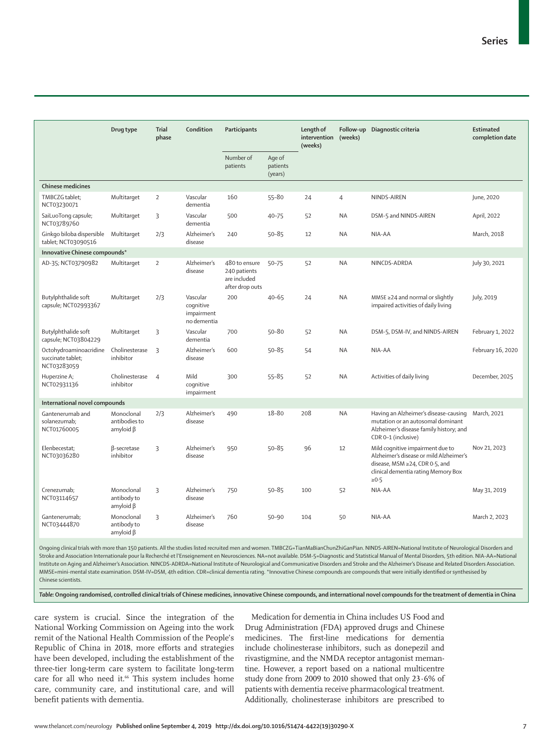|                                                            | Drug type                                      | <b>Trial</b><br>phase | Condition                                          | Participants                                                     |                               | Length of<br>intervention<br>(weeks) | (weeks)   | Follow-up Diagnostic criteria                                                                                                                                      | <b>Estimated</b><br>completion date |
|------------------------------------------------------------|------------------------------------------------|-----------------------|----------------------------------------------------|------------------------------------------------------------------|-------------------------------|--------------------------------------|-----------|--------------------------------------------------------------------------------------------------------------------------------------------------------------------|-------------------------------------|
|                                                            |                                                |                       |                                                    | Number of<br>patients                                            | Age of<br>patients<br>(years) |                                      |           |                                                                                                                                                                    |                                     |
| <b>Chinese medicines</b>                                   |                                                |                       |                                                    |                                                                  |                               |                                      |           |                                                                                                                                                                    |                                     |
| TMBCZG tablet;<br>NCT03230071                              | Multitarget                                    | $\overline{2}$        | Vascular<br>dementia                               | 160                                                              | $55 - 80$                     | 24                                   | 4         | NINDS-AIREN                                                                                                                                                        | June, 2020                          |
| SaiLuoTong capsule;<br>NCT03789760                         | Multitarget                                    | 3                     | Vascular<br>dementia                               | 500                                                              | $40 - 75$                     | 52                                   | <b>NA</b> | DSM-5 and NINDS-AIREN                                                                                                                                              | April, 2022                         |
| Ginkgo biloba dispersible<br>tablet; NCT03090516           | Multitarget                                    | 2/3                   | Alzheimer's<br>disease                             | 240                                                              | $50 - 85$                     | 12                                   | <b>NA</b> | NIA-AA                                                                                                                                                             | March, 2018                         |
| Innovative Chinese compounds*                              |                                                |                       |                                                    |                                                                  |                               |                                      |           |                                                                                                                                                                    |                                     |
| AD-35; NCT03790982                                         | Multitarget                                    | $\overline{2}$        | Alzheimer's<br>disease                             | 480 to ensure<br>240 patients<br>are included<br>after drop outs | $50 - 75$                     | 52                                   | <b>NA</b> | NINCDS-ADRDA                                                                                                                                                       | July 30, 2021                       |
| Butylphthalide soft<br>capsule; NCT02993367                | Multitarget                                    | 2/3                   | Vascular<br>cognitive<br>impairment<br>no dementia | 200                                                              | $40 - 65$                     | 24                                   | <b>NA</b> | MMSE $\geq$ 24 and normal or slightly<br>impaired activities of daily living                                                                                       | July, 2019                          |
| Butylphthalide soft<br>capsule; NCT03804229                | Multitarget                                    | 3                     | Vascular<br>dementia                               | 700                                                              | 50-80                         | 52                                   | <b>NA</b> | DSM-5, DSM-IV, and NINDS-AIREN                                                                                                                                     | February 1, 2022                    |
| Octohydroaminoacridine<br>succinate tablet;<br>NCT03283059 | Cholinesterase<br>inhibitor                    | 3                     | Alzheimer's<br>disease                             | 600                                                              | $50 - 85$                     | 54                                   | NA        | NIA-AA                                                                                                                                                             | February 16, 2020                   |
| Huperzine A;<br>NCT02931136                                | Cholinesterase<br>inhibitor                    | $\overline{4}$        | Mild<br>cognitive<br>impairment                    | 300                                                              | $55 - 85$                     | 52                                   | <b>NA</b> | Activities of daily living                                                                                                                                         | December, 2025                      |
| International novel compounds                              |                                                |                       |                                                    |                                                                  |                               |                                      |           |                                                                                                                                                                    |                                     |
| Gantenerumab and<br>solanezumab;<br>NCT01760005            | Monoclonal<br>antibodies to<br>$amyloid \beta$ | 2/3                   | Alzheimer's<br>disease                             | 490                                                              | $18 - 80$                     | 208                                  | NA        | Having an Alzheimer's disease-causing<br>mutation or an autosomal dominant<br>Alzheimer's disease family history; and<br>CDR 0-1 (inclusive)                       | March, 2021                         |
| Elenbecestat;<br>NCT03036280                               | β-secretase<br>inhibitor                       | 3                     | Alzheimer's<br>disease                             | 950                                                              | $50 - 85$                     | 96                                   | 12        | Mild cognitive impairment due to<br>Alzheimer's disease or mild Alzheimer's<br>disease, MSM ≥24, CDR 0.5, and<br>clinical dementia rating Memory Box<br>$\geq 0.5$ | Nov 21, 2023                        |
| Crenezumab;<br>NCT03114657                                 | Monoclonal<br>antibody to<br>amyloid $\beta$   | 3                     | Alzheimer's<br>disease                             | 750                                                              | $50 - 85$                     | 100                                  | 52        | NIA-AA                                                                                                                                                             | May 31, 2019                        |
| Gantenerumab;<br>NCT03444870                               | Monoclonal<br>antibody to<br>$amyloid \beta$   | 3                     | Alzheimer's<br>disease                             | 760                                                              | $50 - 90$                     | 104                                  | 50        | NIA-AA                                                                                                                                                             | March 2, 2023                       |

Ongoing clinical trials with more than 150 patients. All the studies listed recruited men and women. TMBCZG=TianMaBianChunZhiGanPian. NINDS-AIREN=National Institute of Neurological Disorders and Stroke and Association Internationale pour la Recherché et l'Enseignement en Neurosciences. NA=not available. DSM-5=Diagnostic and Statistical Manual of Mental Disorders, 5th edition. NIA-AA=National Institute on Aging and Alzheimer's Association. NINCDS-ADRDA=National Institute of Neurological and Communicative Disorders and Stroke and the Alzheimer's Disease and Related Disorders Association. MMSE=mini-mental state examination. DSM-IV=DSM, 4th edition. CDR=clinical dementia rating. \*Innovative Chinese compounds are compounds that were initially identified or synthesised by Chinese scientists.

*Table:* **Ongoing randomised, controlled clinical trials of Chinese medicines, innovative Chinese compounds, and international novel compounds for the treatment of dementia in China**

care system is crucial. Since the integration of the National Working Commission on Ageing into the work remit of the National Health Commission of the People's Republic of China in 2018, more efforts and strategies have been developed, including the establishment of the three-tier long-term care system to facilitate long-term care for all who need it.<sup>66</sup> This system includes home care, community care, and institutional care, and will benefit patients with dementia.

Medication for dementia in China includes US Food and Drug Administration (FDA) approved drugs and Chinese medicines. The first-line medications for dementia include cholinesterase inhibitors, such as donepezil and rivastigmine, and the NMDA receptor antagonist memantine. However, a report based on a national multicentre study done from 2009 to 2010 showed that only 23·6% of patients with dementia receive pharmacological treatment. Additionally, cholinesterase inhibitors are prescribed to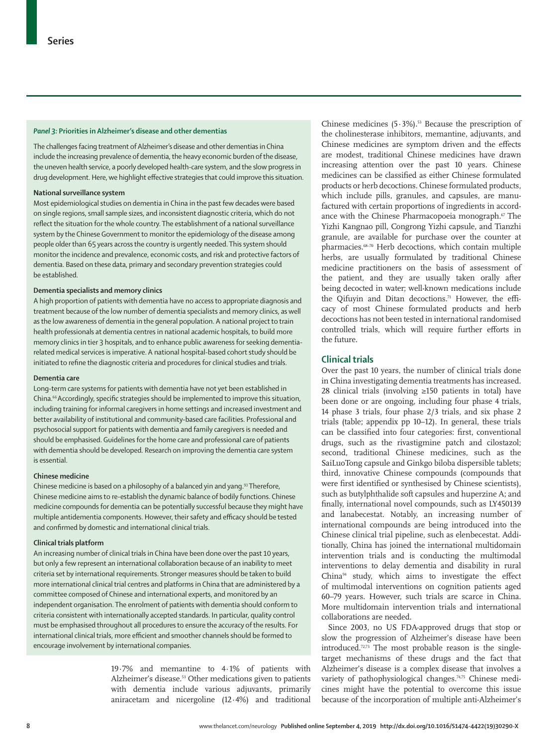## *Panel 3:* **Priorities in Alzheimer's disease and other dementias**

The challenges facing treatment of Alzheimer's disease and other dementias in China include the increasing prevalence of dementia, the heavy economic burden of the disease, the uneven health service, a poorly developed health-care system, and the slow progress in drug development. Here, we highlight effective strategies that could improve this situation.

## **National surveillance system**

Most epidemiological studies on dementia in China in the past few decades were based on single regions, small sample sizes, and inconsistent diagnostic criteria, which do not reflect the situation for the whole country. The establishment of a national surveillance system by the Chinese Government to monitor the epidemiology of the disease among people older than 65 years across the country is urgently needed. This system should monitor the incidence and prevalence, economic costs, and risk and protective factors of dementia. Based on these data, primary and secondary prevention strategies could be established.

### **Dementia specialists and memory clinics**

A high proportion of patients with dementia have no access to appropriate diagnosis and treatment because of the low number of dementia specialists and memory clinics, as well as the low awareness of dementia in the general population. A national project to train health professionals at dementia centres in national academic hospitals, to build more memory clinics in tier 3 hospitals, and to enhance public awareness for seeking dementiarelated medical services is imperative. A national hospital-based cohort study should be initiated to refine the diagnostic criteria and procedures for clinical studies and trials.

#### **Dementia care**

Long-term care systems for patients with dementia have not yet been established in China.66 Accordingly, specific strategies should be implemented to improve this situation, including training for informal caregivers in home settings and increased investment and better availability of institutional and community-based care facilities. Professional and psychosocial support for patients with dementia and family caregivers is needed and should be emphasised. Guidelines for the home care and professional care of patients with dementia should be developed. Research on improving the dementia care system is essential.

#### **Chinese medicine**

Chinese medicine is based on a philosophy of a balanced yin and yang.<sup>93</sup> Therefore, Chinese medicine aims to re-establish the dynamic balance of bodily functions. Chinese medicine compounds for dementia can be potentially successful because they might have multiple antidementia components. However, their safety and efficacy should be tested and confirmed by domestic and international clinical trials.

#### **Clinical trials platform**

An increasing number of clinical trials in China have been done over the past 10 years, but only a few represent an international collaboration because of an inability to meet criteria set by international requirements. Stronger measures should be taken to build more international clinical trial centres and platforms in China that are administered by a committee composed of Chinese and international experts, and monitored by an independent organisation. The enrolment of patients with dementia should conform to criteria consistent with internationally accepted standards. In particular, quality control must be emphasised throughout all procedures to ensure the accuracy of the results. For international clinical trials, more efficient and smoother channels should be formed to encourage involvement by international companies.

> 19·7% and memantine to 4·1% of patients with Alzheimer's disease.<sup>53</sup> Other medications given to patients with dementia include various adjuvants, primarily aniracetam and nicergoline (12·4%) and traditional

Chinese medicines  $(5.3\%)$ .<sup>53</sup> Because the prescription of the cholinesterase inhibitors, memantine, adjuvants, and Chinese medicines are symptom driven and the effects are modest, traditional Chinese medicines have drawn increasing attention over the past 10 years. Chinese medicines can be classified as either Chinese formulated products or herb decoctions. Chinese formulated products, which include pills, granules, and capsules, are manufactured with certain proportions of ingredients in accordance with the Chinese Pharmacopoeia monograph.<sup>67</sup> The Yizhi Kangnao pill, Congrong Yizhi capsule, and Tianzhi granule, are available for purchase over the counter at pharmacies.68–70 Herb decoctions, which contain multiple herbs, are usually formulated by traditional Chinese medicine practitioners on the basis of assessment of the patient, and they are usually taken orally after being decocted in water; well-known medications include the Qifuyin and Ditan decoctions.<sup>71</sup> However, the efficacy of most Chinese formulated products and herb decoctions has not been tested in international randomised controlled trials, which will require further efforts in the future.

## **Clinical trials**

Over the past 10 years, the number of clinical trials done in China investigating dementia treatments has increased. 28 clinical trials (involving ≥150 patients in total) have been done or are ongoing, including four phase 4 trials, 14 phase 3 trials, four phase 2/3 trials, and six phase 2 trials (table; appendix pp 10–12). In general, these trials can be classified into four categories: first, conventional drugs, such as the rivastigmine patch and cilostazol; second, traditional Chinese medicines, such as the SaiLuoTong capsule and Ginkgo biloba dispersible tablets; third, innovative Chinese compounds (compounds that were first identified or synthesised by Chinese scientists), such as butylphthalide soft capsules and huperzine A; and finally, international novel compounds, such as LY450139 and lanabecestat. Notably, an increasing number of international compounds are being introduced into the Chinese clinical trial pipeline, such as elenbecestat. Additionally, China has joined the international multidomain intervention trials and is conducting the multimodal interventions to delay dementia and disability in rural China94 study, which aims to investigate the effect of multimodal interventions on cognition patients aged 60–79 years. However, such trials are scarce in China. More multidomain intervention trials and international collaborations are needed.

Since 2003, no US FDA-approved drugs that stop or slow the progression of Alzheimer's disease have been introduced. $72,73$  The most probable reason is the singletarget mechanisms of these drugs and the fact that Alzheimer's disease is a complex disease that involves a variety of pathophysiological changes.<sup>74,75</sup> Chinese medicines might have the potential to overcome this issue because of the incorporation of multiple anti-Alzheimer's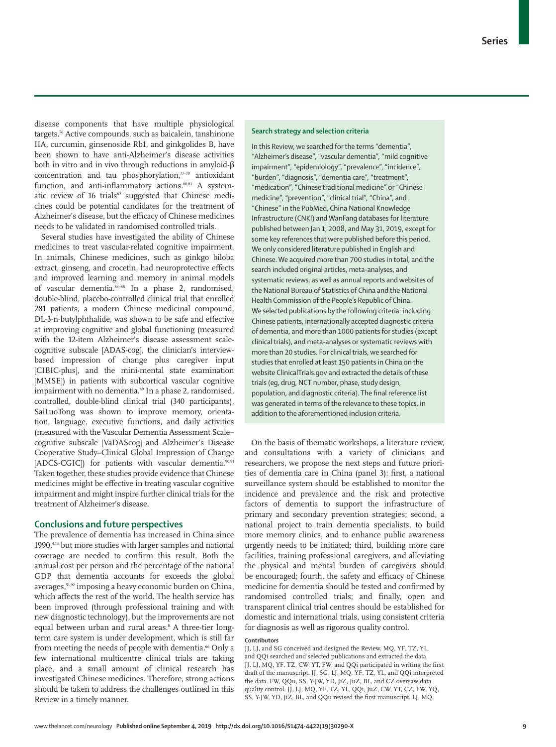disease components that have multiple physiological targets.<sup>76</sup> Active compounds, such as baicalein, tanshinone IIA, curcumin, ginsenoside Rb1, and ginkgolides B, have been shown to have anti-Alzheimer's disease activities both in vitro and in vivo through reductions in amyloid-β concentration and tau phosphorylation,<sup>77-79</sup> antioxidant function, and anti-inflammatory actions.<sup>80,81</sup> A systematic review of 16 trials<sup>82</sup> suggested that Chinese medicines could be potential candidates for the treatment of Alzheimer's disease, but the efficacy of Chinese medicines needs to be validated in randomised controlled trials.

Several studies have investigated the ability of Chinese medicines to treat vascular-related cognitive impairment. In animals, Chinese medicines, such as ginkgo biloba extract, ginseng, and crocetin, had neuroprotective effects and improved learning and memory in animal models of vascular dementia.<sup>83-88</sup> In a phase 2, randomised, double-blind, placebo-controlled clinical trial that enrolled 281 patients, a modern Chinese medicinal compound, DL-3-n-butylphthalide, was shown to be safe and effective at improving cognitive and global functioning (measured with the 12-item Alzheimer's disease assessment scalecognitive subscale [ADAS-cog], the clinician's interviewbased impression of change plus caregiver input [CIBIC-plus], and the mini-mental state examination [MMSE]) in patients with subcortical vascular cognitive impairment with no dementia.<sup>89</sup> In a phase 2, randomised, controlled, double-blind clinical trial (340 participants), SaiLuoTong was shown to improve memory, orientation, language, executive functions, and daily activities (measured with the Vascular Dementia Assessment Scale– cognitive subscale [VaDAScog] and Alzheimer's Disease Cooperative Study–Clinical Global Impression of Change [ADCS-CGIC]) for patients with vascular dementia.<sup>90,91</sup> Taken together, these studies provide evidence that Chinese medicines might be effective in treating vascular cognitive impairment and might inspire further clinical trials for the treatment of Alzheimer's disease.

#### **Conclusions and future perspectives**

The prevalence of dementia has increased in China since 1990,4,13 but more studies with larger samples and national coverage are needed to confirm this result. Both the annual cost per person and the percentage of the national GDP that dementia accounts for exceeds the global averages,<sup>51,92</sup> imposing a heavy economic burden on China, which affects the rest of the world. The health service has been improved (through professional training and with new diagnostic technology), but the improvements are not equal between urban and rural areas.<sup>8</sup> A three-tier longterm care system is under development, which is still far from meeting the needs of people with dementia.<sup>66</sup> Only a few international multicentre clinical trials are taking place, and a small amount of clinical research has investigated Chinese medicines. Therefore, strong actions should be taken to address the challenges outlined in this Review in a timely manner.

#### **Search strategy and selection criteria**

In this Review, we searched for the terms "dementia", "Alzheimer's disease", "vascular dementia", "mild cognitive impairment", "epidemiology", "prevalence", "incidence", "burden", "diagnosis", "dementia care", "treatment", "medication", "Chinese traditional medicine" or "Chinese medicine", "prevention", "clinical trial", "China", and "Chinese" in the PubMed, China National Knowledge Infrastructure (CNKI) and WanFang databases for literature published between Jan 1, 2008, and May 31, 2019, except for some key references that were published before this period. We only considered literature published in English and Chinese. We acquired more than 700 studies in total, and the search included original articles, meta-analyses, and systematic reviews, as well as annual reports and websites of the National Bureau of Statistics of China and the National Health Commission of the People's Republic of China. We selected publications by the following criteria: including Chinese patients, internationally accepted diagnostic criteria of dementia, and more than 1000 patients for studies (except clinical trials), and meta-analyses or systematic reviews with more than 20 studies. For clinical trials, we searched for studies that enrolled at least 150 patients in China on the website ClinicalTrials.gov and extracted the details of these trials (eg, drug, NCT number, phase, study design, population, and diagnostic criteria). The final reference list was generated in terms of the relevance to these topics, in addition to the aforementioned inclusion criteria.

On the basis of thematic workshops, a literature review, and consultations with a variety of clinicians and researchers, we propose the next steps and future priorities of dementia care in China (panel 3): first, a national surveillance system should be established to monitor the incidence and prevalence and the risk and protective factors of dementia to support the infrastructure of primary and secondary prevention strategies; second, a national project to train dementia specialists, to build more memory clinics, and to enhance public awareness urgently needs to be initiated; third, building more care facilities, training professional caregivers, and alleviating the physical and mental burden of caregivers should be encouraged; fourth, the safety and efficacy of Chinese medicine for dementia should be tested and confirmed by randomised controlled trials; and finally, open and transparent clinical trial centres should be established for domestic and international trials, using consistent criteria for diagnosis as well as rigorous quality control.

#### **Contributors**

JJ, LJ, and SG conceived and designed the Review. MQ, YF, TZ, YL, and QQi searched and selected publications and extracted the data. JJ, LJ, MQ, YF, TZ, CW, YT, FW, and QQi participated in writing the first draft of the manuscript. JJ, SG, LJ, MQ, YF, TZ, YL, and QQi interpreted the data. FW, QQu, SS, Y-JW, YD, JiZ, JuZ, BL, and CZ oversaw data quality control. JJ, LJ, MQ, YF, TZ, YL, QQi, JuZ, CW, YT, CZ, FW, YQ, SS, Y-JW, YD, JiZ, BL, and QQu revised the first manuscript. LJ, MQ,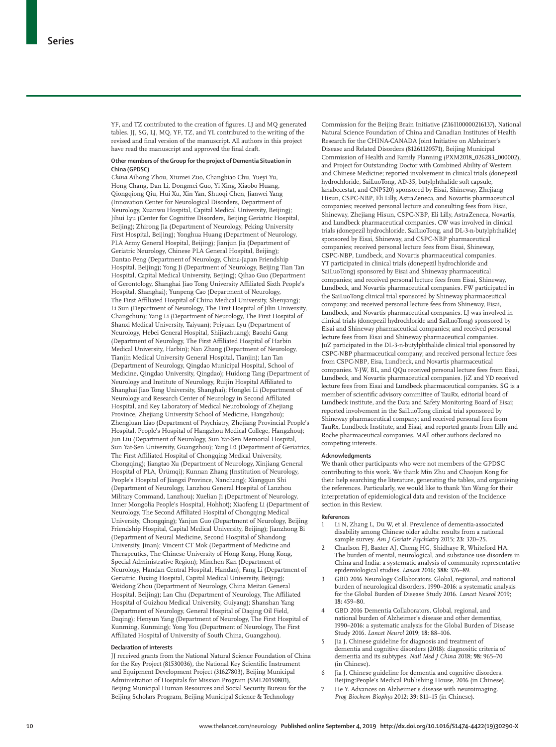YF, and TZ contributed to the creation of figures. LJ and MQ generated tables. JJ, SG, LJ, MO, YF, TZ, and YL contributed to the writing of the revised and final version of the manuscript. All authors in this project have read the manuscript and approved the final draft.

#### **Other members of the Group for the project of Dementia Situation in China (GPDSC)**

*China* Aihong Zhou, Xiumei Zuo, Changbiao Chu, Yueyi Yu, Hong Chang, Dan Li, Dongmei Guo, Yi Xing, Xiaobo Huang, Qiongqiong Qiu, Hui Xu, Xin Yan, Shuoqi Chen, Jianwei Yang (Innovation Center for Neurological Disorders, Department of Neurology, Xuanwu Hospital, Capital Medical University, Beijing); Jihui Lyu (Center for Cognitive Disorders, Beijing Geriatric Hospital, Beijing); Zhirong Jia (Department of Neurology, Peking University First Hospital, Beijing); Yonghua Huang (Department of Neurology, PLA Army General Hospital, Beijing); Jianjun Jia (Department of Geriatric Neurology, Chinese PLA General Hospital, Beijing); Dantao Peng (Department of Neurology, China-Japan Friendship Hospital, Beijing); Yong Ji (Department of Neurology, Beijing Tian Tan Hospital, Capital Medical University, Beijing); Qihao Guo (Department of Gerontology, Shanghai Jiao Tong University Affiliated Sixth People's Hospital, Shanghai); Yunpeng Cao (Department of Neurology, The First Affiliated Hospital of China Medical University, Shenyang); Li Sun (Department of Neurology, The First Hospital of Jilin University, Changchun); Yang Li (Department of Neurology, The First Hospital of Shanxi Medical University, Taiyuan); Peiyuan Lyu (Department of Neurology, Hebei General Hospital, Shijiazhuang); Baozhi Gang (Department of Neurology, The First Affiliated Hospital of Harbin Medical University, Harbin); Nan Zhang (Department of Neurology, Tianjin Medical University General Hospital, Tianjin); Lan Tan (Department of Neurology, Qingdao Municipal Hospital, School of Medicine, Qingdao University, Qingdao); Huidong Tang (Department of Neurology and Institute of Neurology, Ruijin Hospital Affiliated to Shanghai Jiao Tong University, Shanghai); Honglei Li (Department of Neurology and Research Center of Neurology in Second Affiliated Hospital, and Key Laboratory of Medical Neurobiology of Zhejiang Province, Zhejiang University School of Medicine, Hangzhou); Zhengluan Liao (Department of Psychiatry, Zhejiang Provincial People's Hospital, People's Hospital of Hangzhou Medical College, Hangzhou); Jun Liu (Department of Neurology, Sun Yat-Sen Memorial Hospital, Sun Yat-Sen University, Guangzhou); Yang Lü (Department of Geriatrics, The First Affiliated Hospital of Chongqing Medical University, Chongqing); Jiangtao Xu (Department of Neurology, Xinjiang General Hospital of PLA, Ürümqi); Kunnan Zhang (Institution of Neurology, People's Hospital of Jiangxi Province, Nanchang); Xiangqun Shi (Department of Neurology, Lanzhou General Hospital of Lanzhou Military Command, Lanzhou); Xuelian Ji (Department of Neurology, Inner Mongolia People's Hospital, Hohhot); Xiaofeng Li (Department of Neurology, The Second Affiliated Hospital of Chongqing Medical University, Chongqing); Yanjun Guo (Department of Neurology, Beijing Friendship Hospital, Capital Medical University, Beijing); Jianzhong Bi (Department of Neural Medicine, Second Hospital of Shandong University, Jinan); Vincent CT Mok (Department of Medicine and Therapeutics, The Chinese University of Hong Kong, Hong Kong, Special Administrative Region); Minchen Kan (Department of Neurology, Handan Central Hospital, Handan); Fang Li (Department of Geriatric, Fuxing Hospital, Capital Medical University, Beijing); Weidong Zhou (Department of Neurology, China Meitan General Hospital, Beijing); Lan Chu (Department of Neurology, The Affiliated Hospital of Guizhou Medical University, Guiyang); Shanshan Yang (Department of Neurology, General Hospital of Daqing Oil Field, Daqing); Henyun Yang (Department of Neurology, The First Hospital of Kunming, Kunming); Yong You (Department of Neurology, The First Affiliated Hospital of University of South China, Guangzhou).

#### **Declaration of interests**

JJ received grants from the National Natural Science Foundation of China for the Key Project (81530036), the National Key Scientific Instrument and Equipment Development Project (31627803), Beijing Municipal Administration of Hospitals for Mission Program (SML20150801), Beijing Municipal Human Resources and Social Security Bureau for the Beijing Scholars Program, Beijing Municipal Science & Technology

Commission for the Beijing Brain Initiative (Z161100000216137), National Natural Science Foundation of China and Canadian Institutes of Health Research for the CHINA-CANADA Joint Initiative on Alzheimer's Disease and Related Disorders (81261120571), Beijing Municipal Commission of Health and Family Planning (PXM2018\_026283\_000002), and Project for Outstanding Doctor with Combined Ability of Western and Chinese Medicine; reported involvement in clinical trials (donepezil hydrochloride, SaiLuoTong, AD-35, butylphthalide soft capsule, lanabecestat, and CNP520) sponsored by Eisai, Shineway, Zhejiang Hisun, CSPC-NBP, Eli Lilly, AstraZeneca, and Novartis pharmaceutical companies; received personal lecture and consulting fees from Eisai, Shineway, Zhejiang Hisun, CSPC-NBP, Eli Lilly, AstraZeneca, Novartis, and Lundbeck pharmaceutical companies. CW was involved in clinical trials (donepezil hydrochloride, SaiLuoTong, and DL-3-n-butylphthalide) sponsored by Eisai, Shineway, and CSPC-NBP pharmaceutical companies; received personal lecture fees from Eisai, Shineway, CSPC-NBP, Lundbeck, and Novartis pharmaceutical companies. YT participated in clinical trials (donepezil hydrochloride and SaiLuoTong) sponsored by Eisai and Shineway pharmaceutical companies; and received personal lecture fees from Eisai, Shineway, Lundbeck, and Novartis pharmaceutical companies. FW participated in the SaiLuoTong clinical trial sponsored by Shineway pharmaceutical company; and received personal lecture fees from Shineway, Eisai, Lundbeck, and Novartis pharmaceutical companies. LJ was involved in clinical trials (donepezil hydrochloride and SaiLuoTong) sponsored by Eisai and Shineway pharmaceutical companies; and received personal lecture fees from Eisai and Shineway pharmaceutical companies. JuZ participated in the DL-3-n-butylphthalide clinical trial sponsored by CSPC-NBP pharmaceutical company; and received personal lecture fees from CSPC-NBP, Eisa, Lundbeck, and Novartis pharmaceutical companies. Y-JW, BL, and QQu received personal lecture fees from Eisai, Lundbeck, and Novartis pharmaceutical companies. JiZ and YD received lecture fees from Eisai and Lundbeck pharmaceutical companies. SG is a member of scientific advisory committee of TauRx, editorial board of Lundbeck institute, and the Data and Safety Monitoring Board of Eisai; reported involvement in the SaiLuoTong clinical trial sponsored by Shineway pharmaceutical company; and received personal fees from TauRx, Lundbeck Institute, and Eisai, and reported grants from Lilly and Roche pharmaceutical companies. MAll other authors declared no competing interests.

#### **Acknowledgments**

We thank other participants who were not members of the GPDSC contributing to this work. We thank Min Zhu and Chaojun Kong for their help searching the literature, generating the tables, and organising the references. Particularly, we would like to thank Yan Wang for their interpretation of epidemiological data and revision of the **I**ncidence section in this Review.

#### **References**

- Li N, Zhang L, Du W, et al. Prevalence of dementia-associated disability among Chinese older adults: results from a national sample survey. *Am J Geriatr Psychiatry* 2015; **23:** 320–25.
- 2 Charlson FJ, Baxter AJ, Cheng HG, Shidhaye R, Whiteford HA. The burden of mental, neurological, and substance use disorders in China and India: a systematic analysis of community representative epidemiological studies. *Lancet* 2016; **388:** 376–89.
- 3 GBD 2016 Neurology Collaborators. Global, regional, and national burden of neurological disorders, 1990–2016: a systematic analysis for the Global Burden of Disease Study 2016. *Lancet Neurol* 2019; **18:** 459–80.
- 4 GBD 2016 Dementia Collaborators. Global, regional, and national burden of Alzheimer's disease and other dementias, 1990–2016: a systematic analysis for the Global Burden of Disease Study 2016. *Lancet Neurol* 2019; **18:** 88–106.
- 5 Jia J. Chinese guideline for diagnosis and treatment of dementia and cognitive disorders (2018): diagnositic criteria of dementia and its subtypes. *Natl Med J China* 2018; **98:** 965–70 (in Chinese).
- 6 Jia J. Chinese guideline for dementia and cognitive disorders. Beijing:People's Medical Publishing House, 2016 (in Chinese).
- 7 He Y. Advances on Alzheimer's disease with neuroimaging. *Prog Biochem Biophys* 2012; **39:** 811–15 (in Chinese).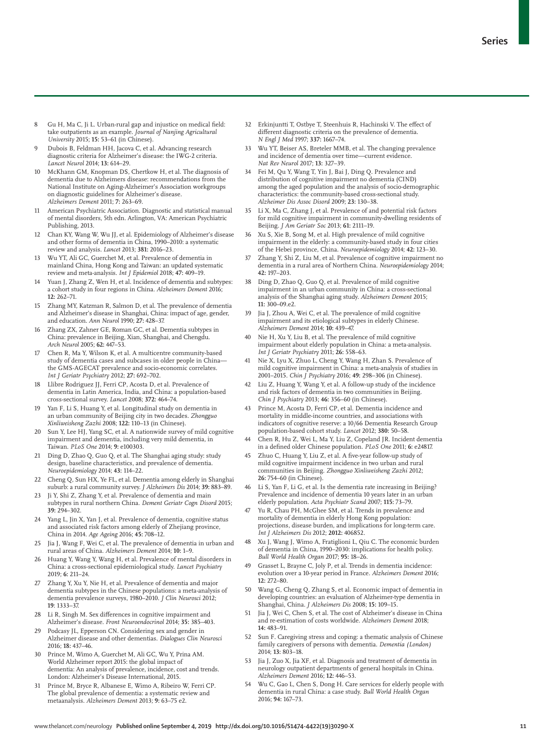- Gu H, Ma C, Ji L. Urban-rural gap and injustice on medical field: take outpatients as an example. *Journal of Nanjing Agricultural University* 2015; **15:** 53–61 (in Chinese).
- Dubois B, Feldman HH, Jacova C, et al. Advancing research diagnostic criteria for Alzheimer's disease: the IWG-2 criteria. *Lancet Neurol* 2014; **13:** 614–29.
- 10 McKhann GM, Knopman DS, Chertkow H, et al. The diagnosis of dementia due to Alzheimers disease: recommendations from the National Institute on Aging-Alzheimer's Association workgroups on diagnostic guidelines for Alzheimer's disease. *Alzheimers Dement* 2011; **7:** 263–69.
- 11 American Psychiatric Association. Diagnostic and statistical manual of mental disorders, 5th edn. Arlington, VA: American Psychiatric Publishing, 2013.
- 12 Chan KY, Wang W, Wu JJ, et al. Epidemiology of Alzheimer's disease and other forms of dementia in China, 1990–2010: a systematic review and analysis. *Lancet* 2013; **381:** 2016–23.
- 13 Wu YT, Ali GC, Guerchet M, et al. Prevalence of dementia in mainland China, Hong Kong and Taiwan: an updated systematic review and meta-analysis. *Int J Epidemiol* 2018; **47:** 409–19.
- 14 Yuan J, Zhang Z, Wen H, et al. Incidence of dementia and subtypes: a cohort study in four regions in China. *Alzheimers Dement* 2016; **12:** 262–71.
- 15 Zhang MY, Katzman R, Salmon D, et al. The prevalence of dementia and Alzheimer's disease in Shanghai, China: impact of age, gender, and education. *Ann Neurol* 1990; **27:** 428–37.
- 16 Zhang ZX, Zahner GE, Roman GC, et al. Dementia subtypes in China: prevalence in Beijing, Xian, Shanghai, and Chengdu. *Arch Neurol* 2005; **62:** 447–53.
- 17 Chen R, Ma Y, Wilson K, et al. A multicentre community-based study of dementia cases and subcases in older people in China the GMS-AGECAT prevalence and socio-economic correlates. *Int J Geriatr Psychiatry* 2012; **27:** 692–702.
- 18 Llibre Rodriguez JJ, Ferri CP, Acosta D, et al. Prevalence of dementia in Latin America, India, and China: a population-based cross-sectional survey. *Lancet* 2008; **372:** 464–74.
- 19 Yan F, Li S, Huang Y, et al. Longitudinal study on dementia in an urban community of Beijing city in two decades. *Zhongguo Xinliweisheng Zazhi* 2008; **122:** 110–13 (in Chinese).
- 20 Sun Y, Lee HJ, Yang SC, et al. A nationwide survey of mild cognitive impairment and dementia, including very mild dementia, in Taiwan. *PLoS One* 2014; **9:** e100303.
- Ding D, Zhao Q, Guo Q, et al. The Shanghai aging study: study design, baseline characteristics, and prevalence of dementia. *Neuroepidemiology* 2014; **43:** 114–22.
- 22 Cheng Q, Sun HX, Ye FL, et al. Dementia among elderly in Shanghai suburb: a rural community survey. *J Alzheimers Dis* 2014; **39:** 883–89.
- 23 Ji Y, Shi Z, Zhang Y, et al. Prevalence of dementia and main subtypes in rural northern China. *Dement Geriatr Cogn Disord* 2015; **39:** 294–302.
- 24 Yang L, Jin X, Yan J, et al. Prevalence of dementia, cognitive status and associated risk factors among elderly of Zhejiang province, China in 2014. *Age Ageing* 2016; **45:** 708–12.
- 25 Jia J, Wang F, Wei C, et al. The prevalence of dementia in urban and rural areas of China. *Alzheimers Dement* 2014; **10:** 1–9.
- 26 Huang Y, Wang Y, Wang H, et al. Prevalence of mental disorders in China: a cross-sectional epidemiological study. *Lancet Psychiatry* 2019; **6:** 211–24.
- 27 Zhang Y, Xu Y, Nie H, et al. Prevalence of dementia and major dementia subtypes in the Chinese populations: a meta-analysis of dementia prevalence surveys, 1980–2010. *J Clin Neurosci* 2012; **19**: 1333–37.
- Li R, Singh M. Sex differences in cognitive impairment and Alzheimer's disease. *Front Neuroendocrinol* 2014; **35:** 385–403.
- 29 Podcasy JL, Epperson CN. Considering sex and gender in Alzheimer disease and other dementias. *Dialogues Clin Neurosci* 2016; **18:** 437–46.
- 30 Prince M, Wimo A, Guerchet M, Ali GC, Wu Y, Prina AM. World Alzheimer report 2015: the global impact of dementia: An analysis of prevalence, incidence, cost and trends. London: Alzheimer's Disease International, 2015.
- 31 Prince M, Bryce R, Albanese E, Wimo A, Ribeiro W, Ferri CP. The global prevalence of dementia: a systematic review and metaanalysis. *Alzheimers Dement* 2013; **9:** 63–75 e2.
- 32 Erkinjuntti T, Ostbye T, Steenhuis R, Hachinski V. The effect of different diagnostic criteria on the prevalence of dementia. *N Engl J Med* 1997; **337:** 1667–74.
- 33 Wu YT, Beiser AS, Breteler MMB, et al. The changing prevalence and incidence of dementia over time—current evidence. *Nat Rev Neurol* 2017; **13:** 327–39.
- 34 Fei M, Qu Y, Wang T, Yin J, Bai J, Ding Q. Prevalence and distribution of cognitive impairment no dementia (CIND) among the aged population and the analysis of socio-demographic characteristics: the community-based cross-sectional study. *Alzheimer Dis Assoc Disord* 2009; **23:** 130–38.
- 35 Li X, Ma C, Zhang J, et al. Prevalence of and potential risk factors for mild cognitive impairment in community-dwelling residents of Beijing. *J Am Geriatr Soc* 2013; **61:** 2111–19.
- 36 Xu S, Xie B, Song M, et al. High prevalence of mild cognitive impairment in the elderly: a community-based study in four cities of the Hebei province, China. *Neuroepidemiology* 2014; **42:** 123–30.
- Zhang Y, Shi Z, Liu M, et al. Prevalence of cognitive impairment no dementia in a rural area of Northern China. *Neuroepidemiology* 2014; **42:** 197–203.
- 38 Ding D, Zhao Q, Guo Q, et al. Prevalence of mild cognitive impairment in an urban community in China: a cross-sectional analysis of the Shanghai aging study. *Alzheimers Dement* 2015; **11:** 300–09.e2.
- 39 Jia J, Zhou A, Wei C, et al. The prevalence of mild cognitive impairment and its etiological subtypes in elderly Chinese. *Alzheimers Dement* 2014; **10:** 439–47.
- 40 Nie H, Xu Y, Liu B, et al. The prevalence of mild cognitive impairment about elderly population in China: a meta-analysis. *Int J Geriatr Psychiatry* 2011; **26:** 558–63.
- Nie X, Lyu X, Zhuo L, Cheng Y, Wang H, Zhan S. Prevalence of mild cognitive impairment in China: a meta-analysis of studies in 2001–2015. *Chin J Psychiatry* 2016; **49:** 298–306 (in Chinese).
- Liu Z, Huang Y, Wang Y, et al. A follow-up study of the incidence and risk factors of dementia in two communities in Beijing. *Chin J Psychiatry* 2013; **46:** 356–60 (in Chinese).
- 43 Prince M, Acosta D, Ferri CP, et al. Dementia incidence and mortality in middle-income countries, and associations with indicators of cognitive reserve: a 10/66 Dementia Research Group population-based cohort study. *Lancet* 2012; **380:** 50–58.
- 44 Chen R, Hu Z, Wei L, Ma Y, Liu Z, Copeland JR. Incident dementia in a defined older Chinese population. *PLoS One* 2011; **6:** e24817.
- 45 Zhuo C, Huang Y, Liu Z, et al. A five-year follow-up study of mild cognitive impairment incidence in two urban and rural communities in Beijing. *Zhongguo Xinliweisheng Zazhi* 2012; **26:** 754–60 (in Chinese).
- 46 Li S, Yan F, Li G, et al. Is the dementia rate increasing in Beijing? Prevalence and incidence of dementia 10 years later in an urban elderly population. *Acta Psychiatr Scand* 2007; **115:** 73–79.
- Yu R, Chau PH, McGhee SM, et al. Trends in prevalence and mortality of dementia in elderly Hong Kong population: projections, disease burden, and implications for long-term care. *Int J Alzheimers Dis* 2012; **2012:** 406852.
- 48 Xu J, Wang J, Wimo A, Fratiglioni L, Qiu C. The economic burden of dementia in China, 1990–2030: implications for health policy. *Bull World Health Organ* 2017; **95:** 18–26.
- Grasset L, Brayne C, Joly P, et al. Trends in dementia incidence: evolution over a 10-year period in France. *Alzheimers Dement* 2016; **12:** 272–80.
- 50 Wang G, Cheng Q, Zhang S, et al. Economic impact of dementia in developing countries: an evaluation of Alzheimer-type dementia in Shanghai, China. *J Alzheimers Dis* 2008; **15:** 109–15.
- 51 Jia J, Wei C, Chen S, et al. The cost of Alzheimer's disease in China and re-estimation of costs worldwide. *Alzheimers Dement* 2018; **14:** 483–91.
- 52 Sun F. Caregiving stress and coping: a thematic analysis of Chinese family caregivers of persons with dementia. *Dementia (London)* 2014; **13:** 803–18.
- 53 Jia J, Zuo X, Jia XF, et al. Diagnosis and treatment of dementia in neurology outpatient departments of general hospitals in China. *Alzheimers Dement* 2016; **12:** 446–53.
- 54 Wu C, Gao L, Chen S, Dong H. Care services for elderly people with dementia in rural China: a case study. *Bull World Health Organ* 2016; **94:** 167–73.